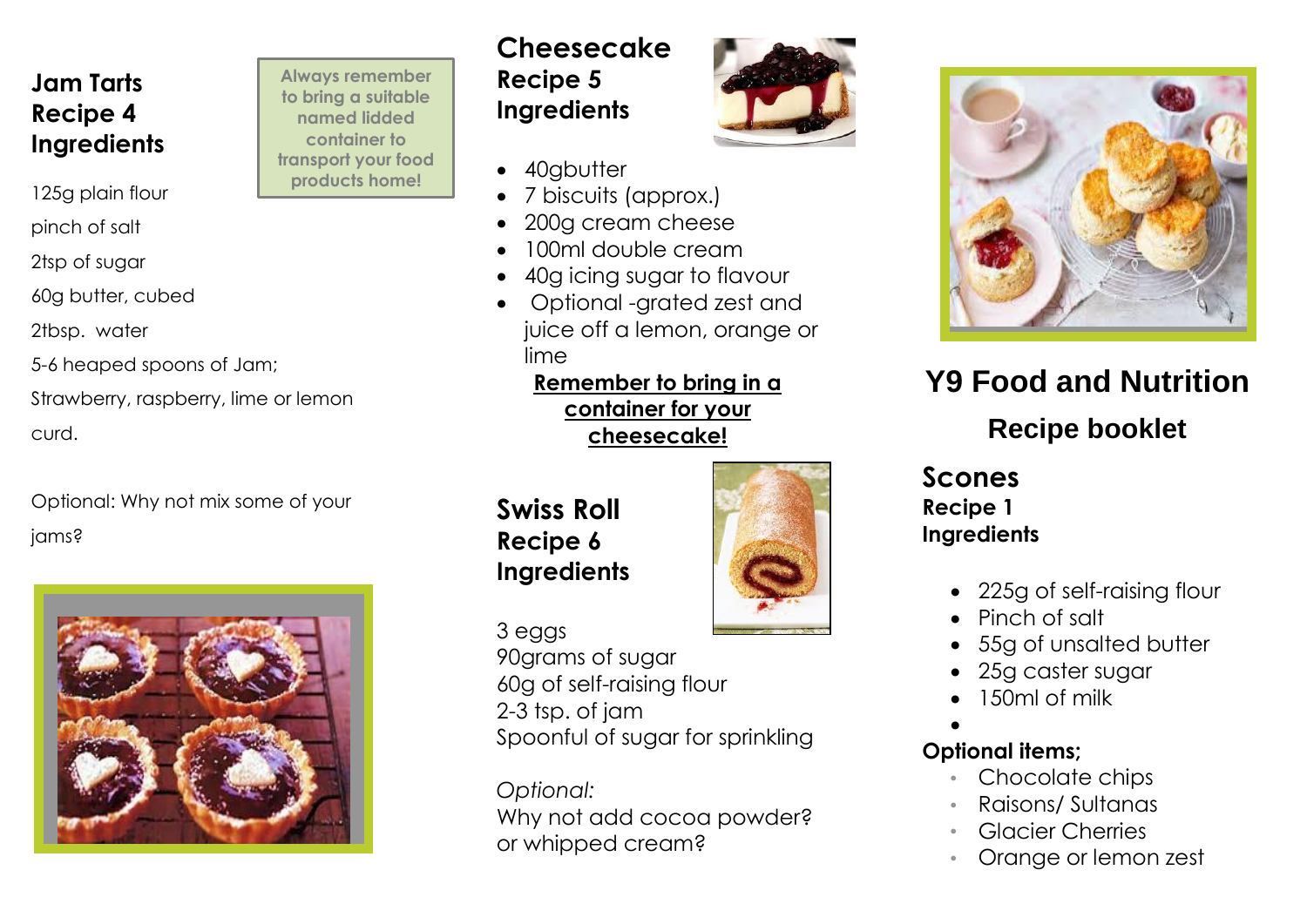#### **Jam Tarts Recipe 4 Ingredients**

125g plain flour

pinch of salt

2tsp of sugar

60g butter, cubed

2tbsp. water

5-6 heaped spoons of Jam;

Strawberry, raspberry, lime or lemon curd.

Optional: Why not mix some of your jams?



**Recipe 5 Ingredients Always remember to bring a suitable named lidded container to transport your food products home!**

# **Cheesecake**

- 40gbutter
- 7 biscuits (approx.)
- 200g cream cheese
- 100ml double cream
- 40g icing sugar to flavour
- Optional -grated zest and juice off a lemon, orange or lime

**Remember to bring in a container for your cheesecake!**

#### **Swiss Roll Recipe 6 Ingredients**



## 3 eggs

**Company Name Here** 90grams of sugar 60g of self-raising flour 2-3 tsp. of jam Spoonful of sugar for sprinkling

*Optional:* Why not add cocoa powder? or whipped cream?



### **Y9 Food and Nutrition Recipe booklet**

#### **Scones Recipe 1 Ingredients**

- 225g of self-raising flour
- Pinch of salt
- 55g of unsalted butter
- 25g caster sugar
- 150ml of milk
- $\bullet$

#### **Optional items;**

- Chocolate chips
- Raisons/ Sultanas
- **Glacier Cherries**
- Orange or lemon zest